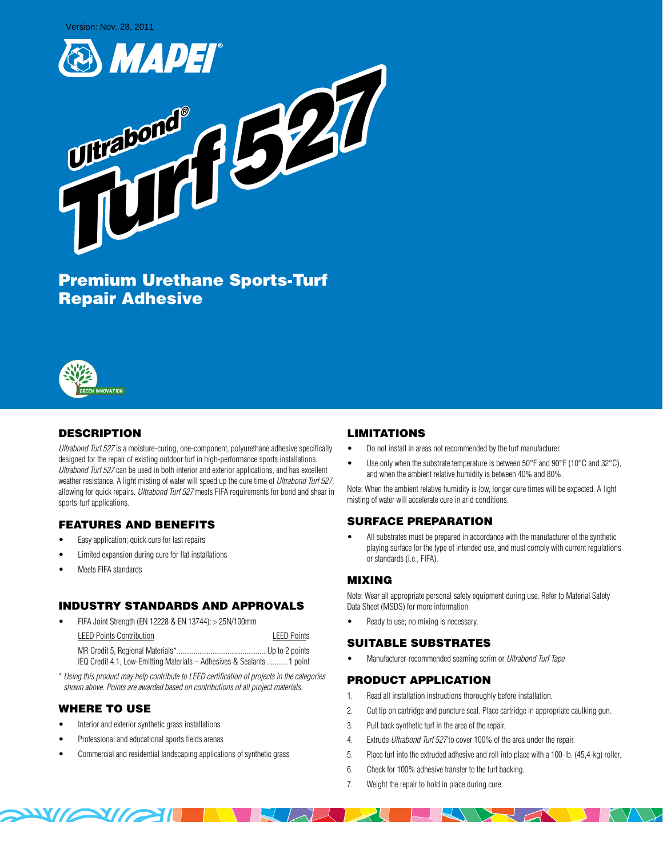Version: Nov. 28, 2011





Premium Urethane Sports-Turf Repair Adhesive



# **DESCRIPTION**

Ultrabond Turf 527 is a moisture-curing, one-component, polyurethane adhesive specifically designed for the repair of existing outdoor turf in high-performance sports installations. Ultrabond Turf 527 can be used in both interior and exterior applications, and has excellent weather resistance. A light misting of water will speed up the cure time of Ultrabond Turf 527, allowing for quick repairs. Ultrabond Turf 527 meets FIFA requirements for bond and shear in sports-turf applications.

## FEATURES AND BENEFITS

- Easy application; quick cure for fast repairs
- Limited expansion during cure for flat installations
- Meets FIFA standards

## INDUSTRY STANDARDS AND APPROVALS

| $\bullet$ | FIFA Joint Strength (EN 12228 & EN 13744): > 25N/100mm                 |                    |
|-----------|------------------------------------------------------------------------|--------------------|
|           | <b>LEED Points Contribution</b>                                        | <b>LEED Points</b> |
|           |                                                                        |                    |
|           | IEQ Credit 4.1, Low-Emitting Materials - Adhesives & Sealants  1 point |                    |

\* Using this product may help contribute to LEED certification of projects in the categories shown above. Points are awarded based on contributions of all project materials.

## WHERE TO USE

WAY MAIN

- Interior and exterior synthetic grass installations
- Professional and educational sports fields arenas
- Commercial and residential landscaping applications of synthetic grass

## LIMITATIONS

- Do not install in areas not recommended by the turf manufacturer.
- Use only when the substrate temperature is between 50°F and 90°F (10°C and 32°C), and when the ambient relative humidity is between 40% and 80%.

Note: When the ambient relative humidity is low, longer cure times will be expected. A light misting of water will accelerate cure in arid conditions.

## SURFACE PREPARATION

All substrates must be prepared in accordance with the manufacturer of the synthetic playing surface for the type of intended use, and must comply with current regulations or standards (i.e., FIFA).

## MIXING

Note: Wear all appropriate personal safety equipment during use. Refer to Material Safety Data Sheet (MSDS) for more information.

Ready to use; no mixing is necessary.

#### SUITABLE SUBSTRATES

Manufacturer-recommended seaming scrim or Ultrabond Turf Tape

#### PRODUCT APPLICATION

- 1. Read all installation instructions thoroughly before installation.
- 2. Cut tip on cartridge and puncture seal. Place cartridge in appropriate caulking gun.
- 3. Pull back synthetic turf in the area of the repair.
- 4. Extrude *Ultrabond Turf 527* to cover 100% of the area under the repair.
- 5. Place turf into the extruded adhesive and roll into place with a 100-lb. (45,4-kg) roller.
- 6. Check for 100% adhesive transfer to the turf backing.
- 7. Weight the repair to hold in place during cure.